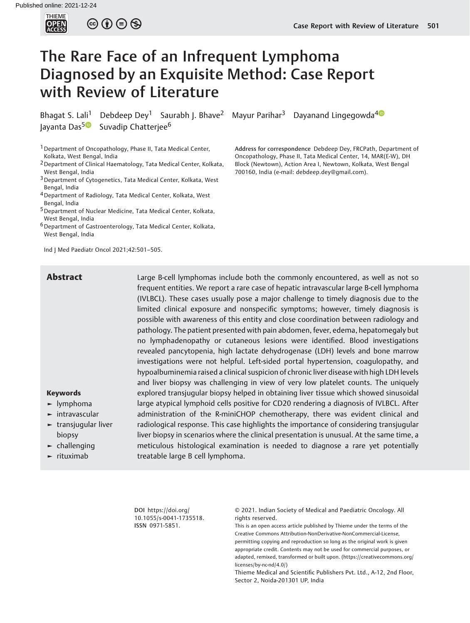

# The Rare Face of an Infrequent Lymphoma Diagnosed by an Exquisite Method: Case Report with Review of Literature

Bhagat S. Lali<sup>1</sup> Debdeep Dey<sup>1</sup> Saurabh J. Bhave<sup>2</sup> Mayur Parihar<sup>3</sup> Dayanand Lingegowda<sup>40</sup> Jayanta Das<sup>[5](https://orcid.org/0000-0003-4639-3068)</sup><sup>®</sup> Suvadip Chatterjee<sup>6</sup>

1Department of Oncopathology, Phase II, Tata Medical Center, Kolkata, West Bengal, India

- 2Department of Clinical Haematology, Tata Medical Center, Kolkata, West Bengal, India
- 3Department of Cytogenetics, Tata Medical Center, Kolkata, West Bengal, India
- 4Department of Radiology, Tata Medical Center, Kolkata, West Bengal, India
- 5Department of Nuclear Medicine, Tata Medical Center, Kolkata, West Bengal, India
- 6Department of Gastroenterology, Tata Medical Center, Kolkata, West Bengal, India

Ind J Med Paediatr Oncol 2021;42:501–505.

Address for correspondence Debdeep Dey, FRCPath, Department of Oncopathology, Phase II, Tata Medical Center, 14, MAR(E-W), DH Block (Newtown), Action Area I, Newtown, Kolkata, West Bengal 700160, India (e-mail: [debdeep.dey@gmail.com](mailto:debdeep.dey@gmail.com)).

**Abstract** Large B-cell lymphomas include both the commonly encountered, as well as not so frequent entities. We report a rare case of hepatic intravascular large B-cell lymphoma (IVLBCL). These cases usually pose a major challenge to timely diagnosis due to the limited clinical exposure and nonspecific symptoms; however, timely diagnosis is possible with awareness of this entity and close coordination between radiology and pathology. The patient presented with pain abdomen, fever, edema, hepatomegaly but no lymphadenopathy or cutaneous lesions were identified. Blood investigations revealed pancytopenia, high lactate dehydrogenase (LDH) levels and bone marrow investigations were not helpful. Left-sided portal hypertension, coagulopathy, and hypoalbuminemia raised a clinical suspicion of chronic liver disease with high LDH levels and liver biopsy was challenging in view of very low platelet counts. The uniquely explored transjugular biopsy helped in obtaining liver tissue which showed sinusoidal large atypical lymphoid cells positive for CD20 rendering a diagnosis of IVLBCL. After administration of the R-miniCHOP chemotherapy, there was evident clinical and radiological response. This case highlights the importance of considering transjugular liver biopsy in scenarios where the clinical presentation is unusual. At the same time, a meticulous histological examination is needed to diagnose a rare yet potentially treatable large B cell lymphoma.

#### Keywords ► lymphoma

- ► intravascular
- ► transjugular liver biopsy
- $\blacktriangleright$  challenging
- ► rituximab

DOI [https://doi.org/](https://doi.org/10.1055/s-0041-1735518) [10.1055/s-0041-1735518](https://doi.org/10.1055/s-0041-1735518). ISSN 0971-5851.

© 2021. Indian Society of Medical and Paediatric Oncology. All rights reserved.

This is an open access article published by Thieme under the terms of the Creative Commons Attribution-NonDerivative-NonCommercial-License, permitting copying and reproduction so long as the original work is given appropriate credit. Contents may not be used for commercial purposes, or adapted, remixed, transformed or built upon. (https://creativecommons.org/ licenses/by-nc-nd/4.0/)

Thieme Medical and Scientific Publishers Pvt. Ltd., A-12, 2nd Floor, Sector 2, Noida-201301 UP, India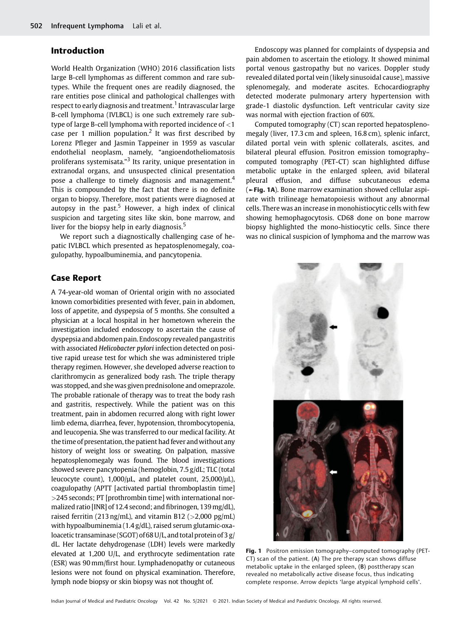## Introduction

World Health Organization (WHO) 2016 classification lists large B-cell lymphomas as different common and rare subtypes. While the frequent ones are readily diagnosed, the rare entities pose clinical and pathological challenges with respect to early diagnosis and treatment.<sup>1</sup> Intravascular large B-cell lymphoma (IVLBCL) is one such extremely rare subtype of large B-cell lymphoma with reported incidence of <1 case per 1 million population.<sup>2</sup> It was first described by Lorenz Pfleger and Jasmin Tappeiner in 1959 as vascular endothelial neoplasm, namely, "angioendotheliomatosis proliferans systemisata."<sup>3</sup> Its rarity, unique presentation in extranodal organs, and unsuspected clinical presentation pose a challenge to timely diagnosis and management.<sup>4</sup> This is compounded by the fact that there is no definite organ to biopsy. Therefore, most patients were diagnosed at autopsy in the past.<sup>5</sup> However, a high index of clinical suspicion and targeting sites like skin, bone marrow, and liver for the biopsy help in early diagnosis.<sup>5</sup>

We report such a diagnostically challenging case of hepatic IVLBCL which presented as hepatosplenomegaly, coagulopathy, hypoalbuminemia, and pancytopenia.

Endoscopy was planned for complaints of dyspepsia and pain abdomen to ascertain the etiology. It showed minimal portal venous gastropathy but no varices. Doppler study revealed dilated portal vein (likely sinusoidal cause), massive splenomegaly, and moderate ascites. Echocardiography detected moderate pulmonary artery hypertension with grade-1 diastolic dysfunction. Left ventricular cavity size was normal with ejection fraction of 60%.

Computed tomography (CT) scan reported hepatosplenomegaly (liver, 17.3 cm and spleen, 16.8 cm), splenic infarct, dilated portal vein with splenic collaterals, ascites, and bilateral pleural effusion. Positron emission tomography– computed tomography (PET-CT) scan highlighted diffuse metabolic uptake in the enlarged spleen, avid bilateral pleural effusion, and diffuse subcutaneous edema (►Fig. 1A). Bone marrow examination showed cellular aspirate with trilineage hematopoiesis without any abnormal cells. There was an increase in monohistiocytic cells with few showing hemophagocytosis. CD68 done on bone marrow biopsy highlighted the mono-histiocytic cells. Since there was no clinical suspicion of lymphoma and the marrow was

# Case Report

A 74-year-old woman of Oriental origin with no associated known comorbidities presented with fever, pain in abdomen, loss of appetite, and dyspepsia of 5 months. She consulted a physician at a local hospital in her hometown wherein the investigation included endoscopy to ascertain the cause of dyspepsia and abdomen pain. Endoscopy revealed pangastritis with associated Helicobacter pylori infection detected on positive rapid urease test for which she was administered triple therapy regimen. However, she developed adverse reaction to clarithromycin as generalized body rash. The triple therapy was stopped, and she was given prednisolone and omeprazole. The probable rationale of therapy was to treat the body rash and gastritis, respectively. While the patient was on this treatment, pain in abdomen recurred along with right lower limb edema, diarrhea, fever, hypotension, thrombocytopenia, and leucopenia. She was transferred to our medical facility. At the time of presentation, the patient had fever andwithout any history of weight loss or sweating. On palpation, massive hepatosplenomegaly was found. The blood investigations showed severe pancytopenia (hemoglobin, 7.5 g/dL; TLC (total leucocyte count),  $1,000/\mu L$ , and platelet count,  $25,000/\mu L$ ), coagulopathy (APTT [activated partial thromboplastin time] >245 seconds; PT [prothrombin time] with international normalized ratio [INR] of 12.4 second; and fibrinogen, 139 mg/dL), raised ferritin (213 ng/mL), and vitamin B12 ( $>$ 2,000 pg/mL) with hypoalbuminemia (1.4 g/dL), raised serum glutamic-oxaloacetic transaminase (SGOT) of 68 U/L, and total protein of 3 g/ dL. Her lactate dehydrogenase (LDH) levels were markedly elevated at 1,200 U/L, and erythrocyte sedimentation rate (ESR) was 90 mm/first hour. Lymphadenopathy or cutaneous lesions were not found on physical examination. Therefore, lymph node biopsy or skin biopsy was not thought of.



Fig. 1 Positron emission tomography-computed tomography (PET-CT) scan of the patient. (A) The pre therapy scan shows diffuse metabolic uptake in the enlarged spleen, (B) posttherapy scan revealed no metabolically active disease focus, thus indicating complete response. Arrow depicts 'large atypical lymphoid cells'.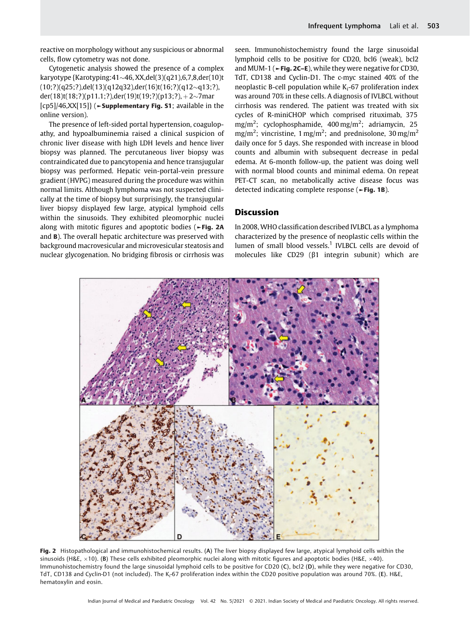reactive on morphology without any suspicious or abnormal cells, flow cytometry was not done.

Cytogenetic analysis showed the presence of a complex karyotype {Karotyping: $41 \sim 46$ , XX,del(3)(q21),6,7,8,der(10)t  $(10;?)$ (q25;?),del(13)(q12q32),der(16)t(16;?)(q12~q13;?), der(18)t(18;?)(p11.1;?),der(19)t(19;?)(p13;?), +2~7mar [cp5]/46,XX[15]} (►Supplementary Fig. S1; available in the online version).

The presence of left-sided portal hypertension, coagulopathy, and hypoalbuminemia raised a clinical suspicion of chronic liver disease with high LDH levels and hence liver biopsy was planned. The percutaneous liver biopsy was contraindicated due to pancytopenia and hence transjugular biopsy was performed. Hepatic vein-portal-vein pressure gradient (HVPG) measured during the procedure was within normal limits. Although lymphoma was not suspected clinically at the time of biopsy but surprisingly, the transjugular liver biopsy displayed few large, atypical lymphoid cells within the sinusoids. They exhibited pleomorphic nuclei along with mitotic figures and apoptotic bodies (►Fig. 2A and B). The overall hepatic architecture was preserved with background macrovesicular and microvesicular steatosis and nuclear glycogenation. No bridging fibrosis or cirrhosis was

seen. Immunohistochemistry found the large sinusoidal lymphoid cells to be positive for CD20, bcl6 (weak), bcl2 and MUM-1 ( $\blacktriangleright$ Fig. 2C–E), while they were negative for CD30, TdT, CD138 and Cyclin-D1. The c-myc stained 40% of the neoplastic B-cell population while  $K_i$ -67 proliferation index was around 70% in these cells. A diagnosis of IVLBCL without cirrhosis was rendered. The patient was treated with six cycles of R-miniCHOP which comprised rituximab, 375 mg/m<sup>2</sup>; cyclophosphamide, 400 mg/m<sup>2</sup>; adriamycin, 25 mg/m<sup>2</sup>; vincristine, 1 mg/m<sup>2</sup>; and prednisolone, 30 mg/m<sup>2</sup> daily once for 5 days. She responded with increase in blood counts and albumin with subsequent decrease in pedal edema. At 6-month follow-up, the patient was doing well with normal blood counts and minimal edema. On repeat PET-CT scan, no metabolically active disease focus was detected indicating complete response (►Fig. 1B).

# **Discussion**

In 2008, WHO classification described IVLBCL as a lymphoma characterized by the presence of neoplastic cells within the lumen of small blood vessels.<sup>1</sup> IVLBCL cells are devoid of molecules like CD29 (β1 integrin subunit) which are



Fig. 2 Histopathological and immunohistochemical results. (A) The liver biopsy displayed few large, atypical lymphoid cells within the sinusoids (H&E,  $\times$ 10). (B) These cells exhibited pleomorphic nuclei along with mitotic figures and apoptotic bodies (H&E,  $\times$ 40). Immunohistochemistry found the large sinusoidal lymphoid cells to be positive for CD20 (C), bcl2 (D), while they were negative for CD30, TdT, CD138 and Cyclin-D1 (not included). The K<sub>i</sub>-67 proliferation index within the CD20 positive population was around 70%. (E). H&E, hematoxylin and eosin.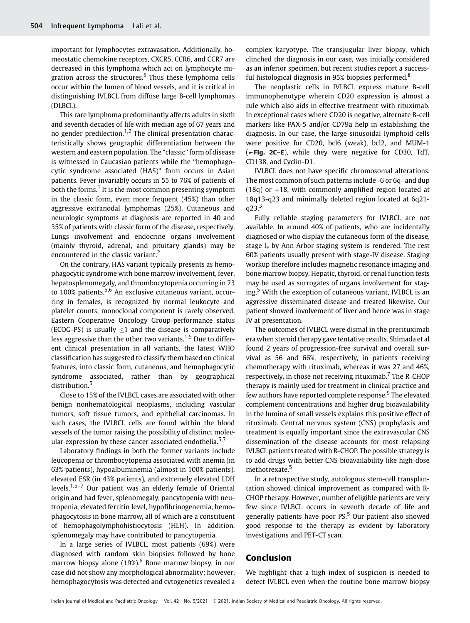important for lymphocytes extravasation. Additionally, homeostatic chemokine receptors, CXCR5, CCR6, and CCR7 are decreased in this lymphoma which act on lymphocyte migration across the structures.<sup>5</sup> Thus these lymphoma cells occur within the lumen of blood vessels, and it is critical in distinguishing IVLBCL from diffuse large B-cell lymphomas (DLBCL).

This rare lymphoma predominantly affects adults in sixth and seventh decades of life with median age of 67 years and no gender predilection. $1,2$  The clinical presentation characteristically shows geographic differentiation between the western and eastern population. The "classic" form of disease is witnessed in Caucasian patients while the "hemophagocytic syndrome associated (HAS)" form occurs in Asian patients. Fever invariably occurs in 55 to 76% of patients of both the forms.<sup>1</sup> It is the most common presenting symptom in the classic form, even more frequent (45%) than other aggressive extranodal lymphomas (25%). Cutaneous and neurologic symptoms at diagnosis are reported in 40 and 35% of patients with classic form of the disease, respectively. Lungs involvement and endocrine organs involvement (mainly thyroid, adrenal, and pituitary glands) may be encountered in the classic variant.<sup>2</sup>

On the contrary, HAS variant typically presents as hemophagocytic syndrome with bone marrow involvement, fever, hepatosplenomegaly, and thrombocytopenia occurring in 73 to 100% patients.<sup>5,6</sup> An exclusive cutaneous variant, occurring in females, is recognized by normal leukocyte and platelet counts, monoclonal component is rarely observed, Eastern Cooperative Oncology Group-performance status (ECOG-PS) is usually  $\leq 1$  and the disease is comparatively less aggressive than the other two variants.<sup>1,5</sup> Due to different clinical presentation in all variants, the latest WHO classification has suggested to classify them based on clinical features, into classic form, cutaneous, and hemophagocytic syndrome associated, rather than by geographical distribution.<sup>5</sup>

Close to 15% of the IVLBCL cases are associated with other benign nonhematological neoplasms, including vascular tumors, soft tissue tumors, and epithelial carcinomas. In such cases, the IVLBCL cells are found within the blood vessels of the tumor raising the possibility of distinct molecular expression by these cancer associated endothelia. $5.7$ 

Laboratory findings in both the former variants include leucopenia or thrombocytopenia associated with anemia (in 63% patients), hypoalbuminemia (almost in 100% patients), elevated ESR (in 43% patients), and extremely elevated LDH levels.<sup>1,5–7</sup> Our patient was an elderly female of Oriental origin and had fever, splenomegaly, pancytopenia with neutropenia, elevated ferritin level, hypofibrinogenemia, hemophagocytosis in bone marrow, all of which are a constituent of hemophagolymphohistiocytosis (HLH). In addition, splenomegaly may have contributed to pancytopenia.

In a large series of IVLBCL, most patients (69%) were diagnosed with random skin biopsies followed by bone marrow biopsy alone  $(19\%)$ <sup>6</sup> Bone marrow biopsy, in our case did not show any morphological abnormality; however, hemophagocytosis was detected and cytogenetics revealed a

complex karyotype. The transjugular liver biopsy, which clinched the diagnosis in our case, was initially considered as an inferior specimen, but recent studies report a successful histological diagnosis in 95% biopsies performed.<sup>8</sup>

The neoplastic cells in IVLBCL express mature B-cell immunophenotype wherein CD20 expression is almost a rule which also aids in effective treatment with rituximab. In exceptional cases where CD20 is negative, alternate B-cell markers like PAX-5 and/or CD79a help in establishing the diagnosis. In our case, the large sinusoidal lymphoid cells were positive for CD20, bcl6 (weak), bcl2, and MUM-1 (►Fig. 2C–E), while they were negative for CD30, TdT, CD138, and Cyclin-D1.

IVLBCL does not have specific chromosomal alterations. The most common of such patterns include -6 or 6q- and dup (18q) or  $+18$ , with commonly amplified region located at 18q13-q23 and minimally deleted region located at 6q21  $q23.<sup>3</sup>$ 

Fully reliable staging parameters for IVLBCL are not available. In around 40% of patients, who are incidentally diagnosed or who display the cutaneous form of the disease, stage  $I<sub>E</sub>$  by Ann Arbor staging system is rendered. The rest 60% patients usually present with stage-IV disease. Staging workup therefore includes magnetic resonance imaging and bone marrow biopsy. Hepatic, thyroid, or renal function tests may be used as surrogates of organs involvement for staging.<sup>5</sup> With the exception of cutaneous variant, IVLBCL is an aggressive disseminated disease and treated likewise. Our patient showed involvement of liver and hence was in stage IV at presentation.

The outcomes of IVLBCL were dismal in the prerituximab era when steroid therapy gave tentative results. Shimada et al found 2 years of progression-free survival and overall survival as 56 and 66%, respectively, in patients receiving chemotherapy with rituximab, whereas it was 27 and 46%, respectively, in those not receiving rituximab.<sup>7</sup> The R-CHOP therapy is mainly used for treatment in clinical practice and few authors have reported complete response.<sup>9</sup> The elevated complement concentrations and higher drug bioavailability in the lumina of small vessels explains this positive effect of rituximab. Central nervous system (CNS) prophylaxis and treatment is equally important since the extravascular CNS dissemination of the disease accounts for most relapsing IVLBCL patients treated with R-CHOP. The possible strategy is to add drugs with better CNS bioavailability like high-dose methotrexate.<sup>5</sup>

In a retrospective study, autologous stem-cell transplantation showed clinical improvement as compared with R-CHOP therapy. However, number of eligible patients are very few since IVLBCL occurs in seventh decade of life and generally patients have poor  $PS<sub>5</sub>$  Our patient also showed good response to the therapy as evident by laboratory investigations and PET-CT scan.

## Conclusion

We highlight that a high index of suspicion is needed to detect IVLBCL even when the routine bone marrow biopsy